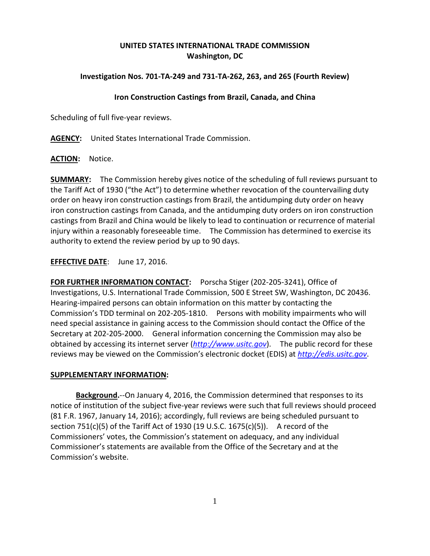## **UNITED STATES INTERNATIONAL TRADE COMMISSION Washington, DC**

## **Investigation Nos. 701-TA-249 and 731-TA-262, 263, and 265 (Fourth Review)**

## **Iron Construction Castings from Brazil, Canada, and China**

Scheduling of full five-year reviews.

**AGENCY:** United States International Trade Commission.

**ACTION:** Notice.

**SUMMARY:** The Commission hereby gives notice of the scheduling of full reviews pursuant to the Tariff Act of 1930 ("the Act") to determine whether revocation of the countervailing duty order on heavy iron construction castings from Brazil, the antidumping duty order on heavy iron construction castings from Canada, and the antidumping duty orders on iron construction castings from Brazil and China would be likely to lead to continuation or recurrence of material injury within a reasonably foreseeable time. The Commission has determined to exercise its authority to extend the review period by up to 90 days.

**EFFECTIVE DATE**: June 17, 2016.

**FOR FURTHER INFORMATION CONTACT:** Porscha Stiger (202-205-3241), Office of Investigations, U.S. International Trade Commission, 500 E Street SW, Washington, DC 20436. Hearing-impaired persons can obtain information on this matter by contacting the Commission's TDD terminal on 202-205-1810. Persons with mobility impairments who will need special assistance in gaining access to the Commission should contact the Office of the Secretary at 202-205-2000. General information concerning the Commission may also be obtained by accessing its internet server (*[http://www.usitc.gov](http://www.usitc.gov/)*). The public record for these reviews may be viewed on the Commission's electronic docket (EDIS) at *[http://edis.usitc.gov](http://edis.usitc.gov/)*.

## **SUPPLEMENTARY INFORMATION:**

**Background.**--On January 4, 2016, the Commission determined that responses to its notice of institution of the subject five-year reviews were such that full reviews should proceed (81 F.R. 1967, January 14, 2016); accordingly, full reviews are being scheduled pursuant to section 751(c)(5) of the Tariff Act of 1930 (19 U.S.C.  $1675(c)(5)$ ). A record of the Commissioners' votes, the Commission's statement on adequacy, and any individual Commissioner's statements are available from the Office of the Secretary and at the Commission's website.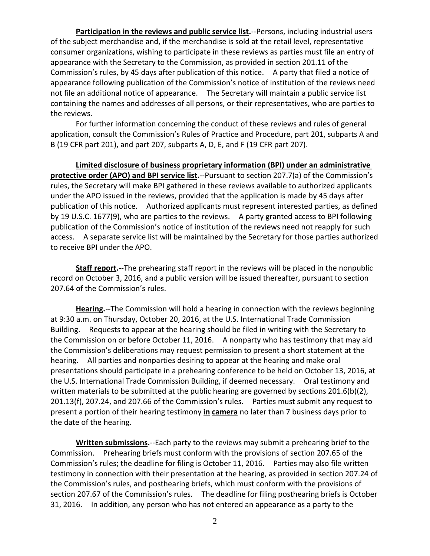**Participation in the reviews and public service list.**--Persons, including industrial users of the subject merchandise and, if the merchandise is sold at the retail level, representative consumer organizations, wishing to participate in these reviews as parties must file an entry of appearance with the Secretary to the Commission, as provided in section 201.11 of the Commission's rules, by 45 days after publication of this notice. A party that filed a notice of appearance following publication of the Commission's notice of institution of the reviews need not file an additional notice of appearance. The Secretary will maintain a public service list containing the names and addresses of all persons, or their representatives, who are parties to the reviews.

For further information concerning the conduct of these reviews and rules of general application, consult the Commission's Rules of Practice and Procedure, part 201, subparts A and B (19 CFR part 201), and part 207, subparts A, D, E, and F (19 CFR part 207).

**Limited disclosure of business proprietary information (BPI) under an administrative protective order (APO) and BPI service list.**--Pursuant to section 207.7(a) of the Commission's rules, the Secretary will make BPI gathered in these reviews available to authorized applicants under the APO issued in the reviews, provided that the application is made by 45 days after publication of this notice. Authorized applicants must represent interested parties, as defined by 19 U.S.C. 1677(9), who are parties to the reviews. A party granted access to BPI following publication of the Commission's notice of institution of the reviews need not reapply for such access. A separate service list will be maintained by the Secretary for those parties authorized to receive BPI under the APO.

**Staff report.**--The prehearing staff report in the reviews will be placed in the nonpublic record on October 3, 2016, and a public version will be issued thereafter, pursuant to section 207.64 of the Commission's rules.

**Hearing.**--The Commission will hold a hearing in connection with the reviews beginning at 9:30 a.m. on Thursday, October 20, 2016, at the U.S. International Trade Commission Building. Requests to appear at the hearing should be filed in writing with the Secretary to the Commission on or before October 11, 2016. A nonparty who has testimony that may aid the Commission's deliberations may request permission to present a short statement at the hearing. All parties and nonparties desiring to appear at the hearing and make oral presentations should participate in a prehearing conference to be held on October 13, 2016, at the U.S. International Trade Commission Building, if deemed necessary. Oral testimony and written materials to be submitted at the public hearing are governed by sections 201.6(b)(2), 201.13(f), 207.24, and 207.66 of the Commission's rules. Parties must submit any request to present a portion of their hearing testimony **in camera** no later than 7 business days prior to the date of the hearing.

**Written submissions.**--Each party to the reviews may submit a prehearing brief to the Commission. Prehearing briefs must conform with the provisions of section 207.65 of the Commission's rules; the deadline for filing is October 11, 2016. Parties may also file written testimony in connection with their presentation at the hearing, as provided in section 207.24 of the Commission's rules, and posthearing briefs, which must conform with the provisions of section 207.67 of the Commission's rules. The deadline for filing posthearing briefs is October 31, 2016. In addition, any person who has not entered an appearance as a party to the